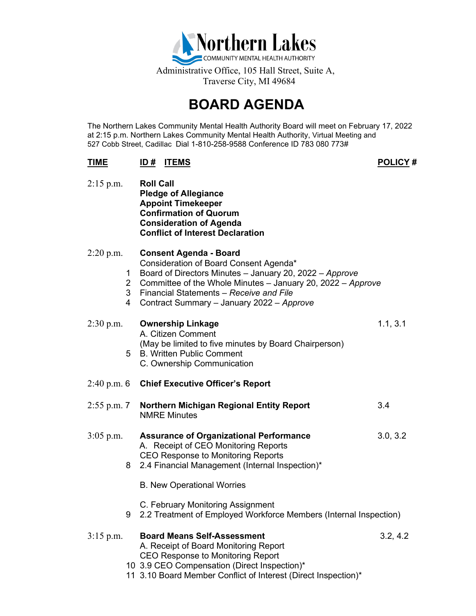

# **BOARD AGENDA**

The Northern Lakes Community Mental Health Authority Board will meet on February 17, 2022 at 2:15 p.m. Northern Lakes Community Mental Health Authority, Virtual Meeting and 527 Cobb Street, Cadillac Dial 1-810-258-9588 Conference ID 783 080 773#

## **TIME ID # ITEMS POLICY #**

| $2:15$ p.m.                                  | <b>Roll Call</b><br><b>Pledge of Allegiance</b><br><b>Appoint Timekeeper</b><br><b>Confirmation of Quorum</b><br><b>Consideration of Agenda</b><br><b>Conflict of Interest Declaration</b>                                                                                                |          |
|----------------------------------------------|-------------------------------------------------------------------------------------------------------------------------------------------------------------------------------------------------------------------------------------------------------------------------------------------|----------|
| $2:20$ p.m.<br>1<br>$\overline{2}$<br>3<br>4 | <b>Consent Agenda - Board</b><br>Consideration of Board Consent Agenda*<br>Board of Directors Minutes - January 20, 2022 - Approve<br>Committee of the Whole Minutes - January 20, 2022 - Approve<br>Financial Statements - Receive and File<br>Contract Summary - January 2022 - Approve |          |
| $2:30$ p.m.<br>5                             | <b>Ownership Linkage</b><br>A. Citizen Comment<br>(May be limited to five minutes by Board Chairperson)<br><b>B. Written Public Comment</b><br>C. Ownership Communication                                                                                                                 | 1.1, 3.1 |
| $2:40$ p.m. 6                                | <b>Chief Executive Officer's Report</b>                                                                                                                                                                                                                                                   |          |
| $2:55$ p.m. 7                                | <b>Northern Michigan Regional Entity Report</b><br><b>NMRE Minutes</b>                                                                                                                                                                                                                    | 3.4      |
| $3:05$ p.m.<br>8                             | <b>Assurance of Organizational Performance</b><br>A. Receipt of CEO Monitoring Reports<br><b>CEO Response to Monitoring Reports</b><br>2.4 Financial Management (Internal Inspection)*                                                                                                    | 3.0, 3.2 |
|                                              | <b>B. New Operational Worries</b>                                                                                                                                                                                                                                                         |          |
| 9                                            | C. February Monitoring Assignment<br>2.2 Treatment of Employed Workforce Members (Internal Inspection)                                                                                                                                                                                    |          |
| $3:15$ p.m.                                  | <b>Board Means Self-Assessment</b><br>A. Receipt of Board Monitoring Report<br><b>CEO Response to Monitoring Report</b><br>10 3.9 CEO Compensation (Direct Inspection)*<br>11 3.10 Board Member Conflict of Interest (Direct Inspection)*                                                 | 3.2, 4.2 |